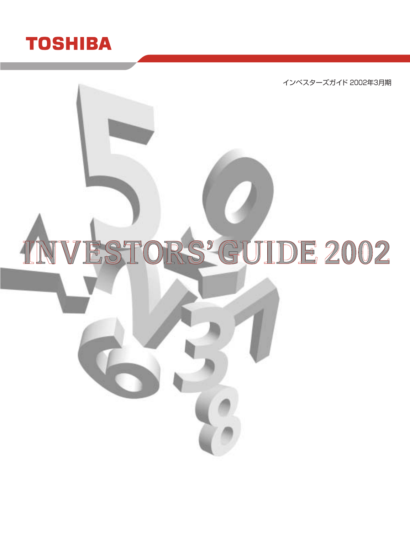

インベスターズガイド 2002年3月期

# ESTORS' GUIDE 2002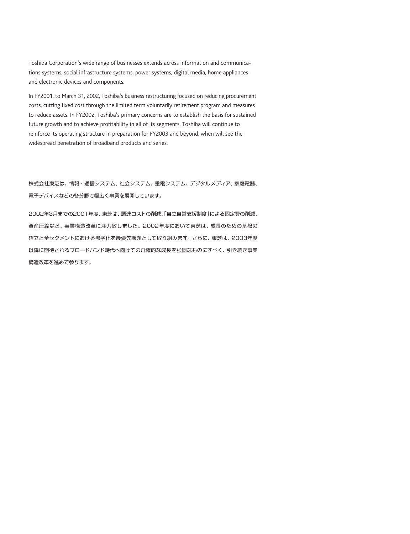Toshiba Corporation's wide range of businesses extends across information and communications systems, social infrastructure systems, power systems, digital media, home appliances and electronic devices and components.

In FY2001, to March 31, 2002, Toshiba's business restructuring focused on reducing procurement costs, cutting fixed cost through the limited term voluntarily retirement program and measures to reduce assets. In FY2002, Toshiba's primary concerns are to establish the basis for sustained future growth and to achieve profitability in all of its segments. Toshiba will continue to reinforce its operating structure in preparation for FY2003 and beyond, when will see the widespread penetration of broadband products and series.

株式会社東芝は、情報・通信システム、社会システム、重電システム、デジタルメディア、家庭電器、 電子デバイスなどの各分野で幅広く事業を展開しています。

2002年3月までの2001年度、東芝は、調達コストの削減、「自立自営支援制度」による固定費の削減、 資産圧縮など、事業構造改革に注力致しました。2002年度において東芝は、成長のための基盤の 確立と全セグメントにおける黒字化を最優先課題として取り組みます。さらに、東芝は、2003年度 以降に期待されるブロードバンド時代へ向けての飛躍的な成長を強固なものにすべく、引き続き事業 構造改革を進めて参ります。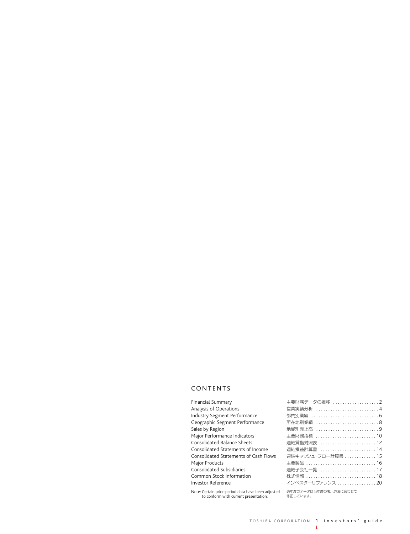### CONTENTS

| <b>Financial Summary</b>                                                                    | 主要財務データの推移 2                      |
|---------------------------------------------------------------------------------------------|-----------------------------------|
| <b>Analysis of Operations</b>                                                               | 営業実績分析 4                          |
| <b>Industry Segment Performance</b>                                                         |                                   |
| Geographic Segment Performance                                                              | 所在地別業績 8                          |
| Sales by Region                                                                             | 地域別売上高 9                          |
| Major Performance Indicators                                                                | 主要財務指標 10                         |
| <b>Consolidated Balance Sheets</b>                                                          | 連結貸借対照表  12                       |
| Consolidated Statements of Income                                                           | 連結損益計算書 14                        |
| <b>Consolidated Statements of Cash Flows</b>                                                | 連結キャッシュ・フロー計算書  15                |
| <b>Major Products</b>                                                                       | 主要製品 16                           |
| <b>Consolidated Subsidiaries</b>                                                            | 連結子会社一覧 17                        |
| Common Stock Information                                                                    | 株式情報 18                           |
| <b>Investor Reference</b>                                                                   | インベスターリファレンス 20                   |
| Note: Certain prior-period data have been adjusted<br>to conform with current presentation. | 過年度のデータは当年度の表示方法に合わせて<br>修正しています。 |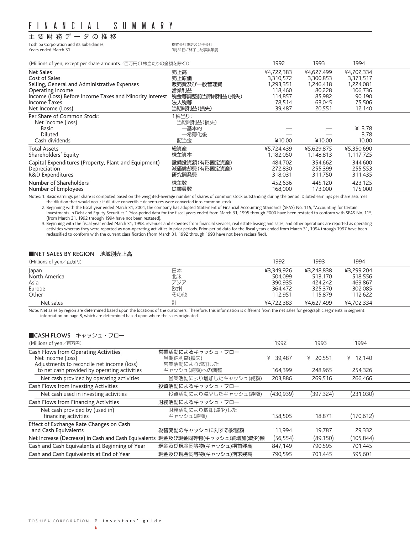# 主要財務データの推移

Toshiba Corporation and its Subsidiaries またまたちにはなくている。株式会社東芝及び子会社<br>Years ended March 31

# Years ended March 31 3月31日に終了した事業年度

(Millions of yen, except per share amounts/百万円(1株当たりの金額を除く)) 1992 1993 1994

| (i 'illuotis of yeif, except per sitate arriourits/ ロノ」」(『小コ/こソツ亚识'と例ヽ// | ーンンム            | . <i>.</i> | ーンン干       |            |  |
|--------------------------------------------------------------------------|-----------------|------------|------------|------------|--|
| Net Sales                                                                | 売上高             | ¥4,722,383 | ¥4,627,499 | ¥4,702,334 |  |
| Cost of Sales                                                            | 売上原価            | 3,310,572  | 3,300,853  | 3,371,517  |  |
| Selling, General and Administrative Expenses                             | 販売費及び一般管理費      | 1,293,351  | 1,246,418  | 1,224,081  |  |
| Operating Income                                                         | 営業利益            | 118,460    | 80,228     | 106,736    |  |
| Income (Loss) Before Income Taxes and Minority Interest                  | 税金等調整前当期純利益(損失) | 114,857    | 85,982     | 90,190     |  |
| Income Taxes                                                             | 法人税等            | 78,514     | 63,045     | 75,506     |  |
| Net Income (Loss)                                                        | 当期純利益(損失)       | 39,487     | 20,551     | 12,140     |  |
| Per Share of Common Stock:                                               | 1株当り:           |            |            |            |  |
| Net income (loss)                                                        | 当期純利益(損失)       |            |            |            |  |
| Basic                                                                    | 一基本的            |            |            | ¥ $3.78$   |  |
| Diluted                                                                  | 一希薄化後           |            |            | 3.78       |  |
| Cash dividends                                                           | 配当金             | ¥10.00     | ¥10.00     | 10.00      |  |
| <b>Total Assets</b>                                                      | 総資産             | ¥5,724,439 | ¥5,629,875 | ¥5,350,690 |  |
| Shareholders' Equity                                                     | 株主資本            | 1,182,050  | 1,148,813  | 1,117,725  |  |
| Capital Expenditures (Property, Plant and Equipment)                     | 設備投資額(有形固定資産)   | 484,702    | 354,662    | 344,600    |  |
| Depreciation                                                             | 減価償却費(有形固定資産)   | 272.830    | 255,399    | 255,553    |  |
| R&D Expenditures                                                         | 研究開発費           | 318,031    | 311,750    | 311,435    |  |
| Number of Shareholders                                                   | 株主数             | 452,636    | 445.120    | 423,125    |  |
| Number of Employees                                                      | 従業員数            | 168,000    | 173,000    | 175,000    |  |

Notes: 1. Basic earnings per share is computed based on the weighted-average number of shares of common stock outstanding during the period. Diluted earnings per share assumes the dilution that would occur if dilutive convertible debentures were converted into common stock.

2. Beginning with the fiscal year ended March 31, 2001, the company has adopted Statement of Financial Accounting Standards (SFAS) No. 115, "Accounting for Certain Investments in Debt and Equity Securities." Prior-period data for the fiscal years ended from March 31, 1995 through 2000 have been restated to conform with SFAS No. 115, (from March 31, 1992 through 1994 have not been restated).

3. Beginning with the fiscal year ended March 31, 1998, revenues and expenses from financial services, real estate leasing and sales, and other operations are reported as operating activities whereas they were reported as non-operating activities in prior periods. Prior-period data for the fiscal years ended from March 31, 1994 through 1997 have been<br>reclassified to conform with the current classific

### ■NET SALES BY REGION 地域別売上高

| (Millions of yen/百万円) |     | 1992       | 1993       | 1994       |  |
|-----------------------|-----|------------|------------|------------|--|
| Japan                 | 日本  | ¥3.349.926 | ¥3,248,838 | ¥3.299.204 |  |
| North America         | 北米  | 504.099    | 513.170    | 518.556    |  |
| Asia                  | アジア | 390.935    | 424.242    | 469,867    |  |
| Europe                | 欧州  | 364.472    | 325,370    | 302,085    |  |
| Other                 | その他 | 112.951    | 115,879    | 112.622    |  |
| Net sales             | 計   | ¥4.722.383 | ¥4.627.499 | ¥4.702.334 |  |

Note: Net sales by region are determined based upon the locations of the customers. Therefore, this information is different from the net sales for geographic segments in segment information on page 8, which are determined based upon where the sales originated.

### ■CASH FLOWS キャッシュ・フロー

| (Millions of yen/百万円)                                                                                   |                                              | 1992        | 1993        | 1994        |  |
|---------------------------------------------------------------------------------------------------------|----------------------------------------------|-------------|-------------|-------------|--|
| Cash Flows from Operating Activities<br>Net income (loss)<br>Adjustments to reconcile net income (loss) | 営業活動によるキャッシュ・フロー<br>当期純利益(損失)<br>営業活動により増加した | 39.487<br>¥ | 20.551<br>¥ | 12.140<br>¥ |  |
| to net cash provided by operating activities                                                            | キャッシュ(純額)への調整                                | 164,399     | 248,965     | 254,326     |  |
| Net cash provided by operating activities                                                               | 営業活動により増加したキャッシュ(純額)                         | 203,886     | 269,516     | 266,466     |  |
| Cash Flows from Investing Activities                                                                    | 投資活動によるキャッシュ・フロー                             |             |             |             |  |
| Net cash used in investing activities                                                                   | 投資活動により減少したキャッシュ(純額)                         | (430,939)   | (397,324)   | (231,030)   |  |
| Cash Flows from Financing Activities                                                                    | 財務活動によるキャッシュ・フロー                             |             |             |             |  |
| Net cash provided by (used in)<br>financing activities                                                  | 財務活動により増加(減少)した<br>キャッシュ(純額)                 | 158,505     | 18,871      | (170, 612)  |  |
| Effect of Exchange Rate Changes on Cash<br>and Cash Equivalents                                         | 為替変動のキャッシュに対する影響額                            | 11.994      | 19.787      | 29,332      |  |
| Net Increase (Decrease) in Cash and Cash Equivalents 現金及び現金同等物(キャッシュ)純増加(減少)額                           |                                              | (56, 554)   | (89, 150)   | (105,844)   |  |
| Cash and Cash Equivalents at Beginning of Year                                                          | 現金及び現金同等物(キャッシュ)期首残高                         | 847,149     | 790,595     | 701,445     |  |
| Cash and Cash Equivalents at End of Year                                                                | 現金及び現金同等物(キャッシュ)期末残高                         | 790.595     | 701.445     | 595.601     |  |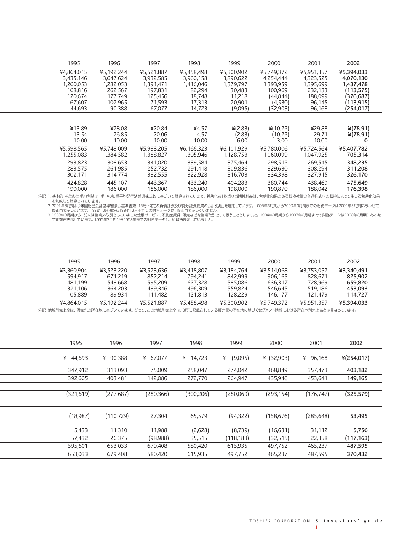| 1995       | 1996       | 1997       | 1998       | 1999       | 2000       | 2001       | 2002       |
|------------|------------|------------|------------|------------|------------|------------|------------|
| ¥4,864,015 | ¥5,192,244 | ¥5,521,887 | ¥5,458,498 | ¥5,300,902 | ¥5,749,372 | ¥5,951,357 | ¥5,394,033 |
| 3,435,146  | 3,647,624  | 3,932,585  | 3,960,158  | 3,890,622  | 4,254,444  | 4,323,525  | 4,070,130  |
| 1,260,053  | 1,282,053  | 1,391,471  | 1,416,046  | 1,379,797  | 1,393,959  | 1,395,699  | 1,437,478  |
| 168.816    | 262,567    | 197.831    | 82,294     | 30,483     | 100.969    | 232,133    | (113, 575) |
| 120,674    | 177,749    | 125,456    | 18,748     | 11,218     | (44,844)   | 188,099    | (376, 687) |
| 67.607     | 102.965    | 71.593     | 17.313     | 20,901     | (4,530)    | 96,145     | (113,915)  |
| 44,693     | 90.388     | 67.077     | 14.723     | (9,095)    | (32, 903)  | 96,168     | (254,017)  |
| ¥13.89     | ¥28.08     | ¥20.84     | ¥4.57      | ¥(2.83)    | ¥(10.22)   | ¥29.88     | $*(78.91)$ |
| 13.54      | 26.85      | 20.06      | 4.57       | (2.83)     | (10.22)    | 29.71      | $*(78.91)$ |
| 10.00      | 10.00      | 10.00      | 10.00      | 6.00       | 3.00       | 10.00      | 0          |
| ¥5,598,565 | ¥5,743,009 | ¥5,933,205 | ¥6,166,323 | ¥6,101,929 | ¥5,780,006 | ¥5,724,564 | ¥5,407,782 |
| 1,255,083  | 1,384,582  | 1,388,827  | 1,305,946  | 1,128,753  | 1,060,099  | 1,047,925  | 705,314    |
| 293,823    | 308,653    | 341.020    | 339,584    | 375,464    | 298,512    | 269.545    | 348,235    |
| 283.575    | 261.985    | 252.732    | 291.418    | 309,836    | 329,630    | 308,294    | 311,208    |
| 302,171    | 314,774    | 332,555    | 322,928    | 316,703    | 334,398    | 327,915    | 326,170    |
| 424.828    | 445.107    | 443.367    | 433.240    | 404.283    | 380.744    | 438.469    | 475.649    |
| 190,000    | 186,000    | 186.000    | 186.000    | 198,000    | 190.870    | 188.042    | 176,398    |
|            |            |            |            |            |            |            |            |

注記:1. 基本的1株当り当期純利益は、期中の加重平均発行済普通株式数に基づいて計算されています。希薄化後1株当り当期純利益は、希薄化効果のある転換社債の普通株式への転換によって生じる希薄化効果 を加味して計算されています。

2. 2001年3月期より米国財務会計基準審議会基準書第115号|特定の負債証券及び持分証券投資の会計処理|を適用しています。1995年3月期から2000年3月期までの財務データは2001年3月期にあわせて<br>- 修正再表示しています。1992年3月期から1994年3月期までの財務データは、修正再表示していません。<br>3. 1998年3月期から、従来は営業外取引としていました金融サービス、不動産賃貸・販売などを営業取引として扱うこととしまし

| 1995       | 1996       | 1997       | 1998       | 1999       | 2000       | 2001       | 2002       |
|------------|------------|------------|------------|------------|------------|------------|------------|
| ¥3.360.904 | ¥3.523.220 | ¥3.523.636 | ¥3.418.807 | ¥3.184.764 | ¥3.514.068 | ¥3.753.052 | ¥3.340.491 |
| 594.917    | 671.219    | 852.214    | 794.241    | 842.999    | 906.165    | 828,671    | 825.902    |
| 481.199    | 543.668    | 595,209    | 627.328    | 585,086    | 636.317    | 728.969    | 659.820    |
| 321.106    | 364.203    | 439.346    | 496.309    | 559.824    | 546.645    | 519.186    | 453.093    |
| 105.889    | 89.934     | 111.482    | 121.813    | 128.229    | 146.177    | 121.479    | 114.727    |
| ¥4.864.015 | ¥5.192.244 | ¥5.521.887 | ¥5.458.498 | ¥5,300,902 | ¥5.749.372 | ¥5.951.357 | ¥5.394.033 |

注記:地域別売上高は、販売先の所在地に基づいています。従って、この地域別売上高は、8頁に記載されている販売元の所在地に基づくセグメント情報における所在地別売上高とは異なっています。

| 1995        | 1996        | 1997       | 1998        | 1999         | 2000         | 2001        | 2002       |
|-------------|-------------|------------|-------------|--------------|--------------|-------------|------------|
| ¥<br>44,693 | 90,388<br>¥ | ¥ 67,077   | 14,723<br>¥ | ¥<br>(9,095) | ¥ $(32,903)$ | 96,168<br>¥ | ¥(254,017) |
| 347,912     | 313,093     | 75,009     | 258,047     | 274,042      | 468,849      | 357,473     | 403,182    |
| 392,605     | 403,481     | 142,086    | 272,770     | 264,947      | 435,946      | 453,641     | 149,165    |
|             |             |            |             |              |              |             |            |
| (321, 619)  | (277,687)   | (280, 366) | (300,206)   | (280,069)    | (293, 154)   | (176, 747)  | (325, 579) |
|             |             |            |             |              |              |             |            |
| (18,987)    | (110, 729)  | 27,304     | 65,579      | (94, 322)    | (158,676)    | (285,648)   | 53,495     |
| 5,433       | 11,310      | 11,988     | (2,628)     | (8, 739)     | (16,631)     | 31,112      | 5,756      |
| 57,432      | 26,375      | (98,988)   | 35,515      | (118, 183)   | (32, 515)    | 22,358      | (117, 163) |
| 595,601     | 653,033     | 679,408    | 580,420     | 615,935      | 497,752      | 465,237     | 487,595    |
| 653,033     | 679,408     | 580,420    | 615.935     | 497.752      | 465.237      | 487.595     | 370,432    |
|             |             |            |             |              |              |             |            |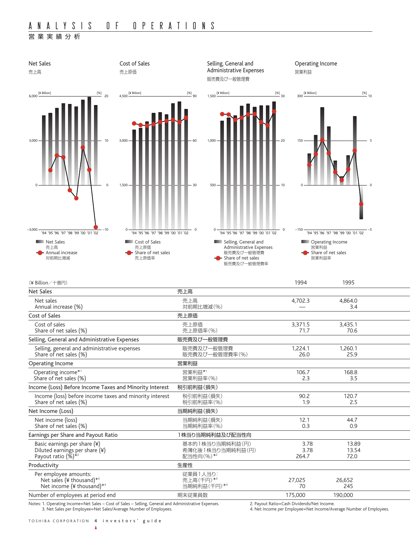# 営業実績分析



Notes: 1. Operating Income=Net Sales – Cost of Sales – Selling, General and Administrative Expenses. 2. Payout Ratio=Cash Dividends/Net Income.<br>2. Payout Ratio=Cash Dividends/Net Income (Average Number of Employees. 4. Net

4. Net Income per Employee=Net Income/Average Number of Employees.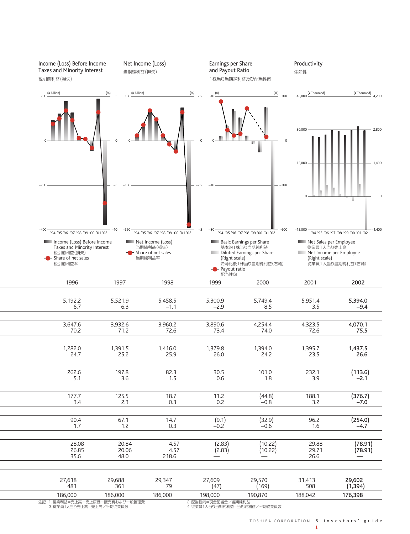| Income (Loss) Before Income<br>Taxes and Minority Interest<br>税引前利益(損失)                                 | 当期純利益(損失)                                                               | Net Income (Loss)                                              |                    | Earnings per Share<br>and Payout Ratio                                   | 1株当り当期純利益及び配当性向                                                 | Productivity<br>生産性                                                              |                                                 |
|---------------------------------------------------------------------------------------------------------|-------------------------------------------------------------------------|----------------------------------------------------------------|--------------------|--------------------------------------------------------------------------|-----------------------------------------------------------------|----------------------------------------------------------------------------------|-------------------------------------------------|
| $200 \frac{(\text{V} \text{ Billion})}{\cdot}$                                                          | $130 \frac{(\text{V} \text{ Billion})}{\cdot}$<br>(%)<br>$\overline{5}$ |                                                                | $\frac{(\%)}{2.5}$ | $40 \frac{(*)}{*}$                                                       | (%)<br>300                                                      | (¥ Thousand)<br>45,000                                                           | $(*$ Thousand) $4,200$                          |
|                                                                                                         |                                                                         |                                                                |                    |                                                                          | $\circ$                                                         | 30,000<br>15,000                                                                 | 2,800<br>1,400                                  |
| $-200$                                                                                                  | $-130$                                                                  |                                                                | -2.5               |                                                                          | $-300$                                                          |                                                                                  |                                                 |
| $-400$<br>'94 '95 '96 '97 '98 '99 '00 '01 '02                                                           | $-260$<br>-10                                                           | '94 '95 '96 '97 '98 '99 '00 '01 '02                            | -5                 | $-80$                                                                    | $-600$<br>'94 '95 '96 '97 '98 '99 '00 '01 '02                   | $-15,000$                                                                        | $-1,400$<br>'94 '95 '96 '97 '98 '99 '00 '01 '02 |
| Income (Loss) Before Income<br>Taxes and Minority Interest<br>税引前利益(損失)<br>Share of net sales<br>税引前利益率 |                                                                         | Net Income (Loss)<br>当期純利益(損失)<br>Share of net sales<br>当期純利益率 |                    | <b>Basic Earnings per Share</b><br>(Right scale)<br>Payout ratio<br>配当性向 | 基本的1株当り当期純利益<br>Diluted Earnings per Share<br>希薄化後1株当り当期純利益(右軸) | Net Sales per Employee<br>従業員1人当り売上高<br>Net Income per Employee<br>(Right scale) | 従業員1人当り当期純利益(右軸)                                |
| 1996                                                                                                    | 1997                                                                    | 1998                                                           |                    | 1999                                                                     | 2000                                                            | 2001                                                                             | 2002                                            |
| 5,192.2<br>6.7                                                                                          | 5,521.9<br>6.3                                                          | 5,458.5<br>$-1.1$                                              |                    | 5,300.9<br>$-2.9$                                                        | 5,749.4<br>8.5                                                  | 5,951.4<br>3.5                                                                   | 5,394.0<br>$-9.4$                               |
| 3,647.6<br>70.2                                                                                         | 3,932.6<br>71.2                                                         | 3,960.2<br>72.6                                                |                    | 3,890.6<br>73.4                                                          | 4,254.4<br>74.0                                                 | 4,323.5<br>72.6                                                                  | 4,070.1<br>75.5                                 |
| 1,282.0<br>24.7                                                                                         | 1,391.5<br>25.2                                                         | 1,416.0<br>25.9                                                |                    | 1,379.8<br>26.0                                                          | 1,394.0<br>24.2                                                 | 1,395.7<br>23.5                                                                  | 1,437.5<br>26.6                                 |
| 262.6<br>5.1                                                                                            | 197.8<br>3.6                                                            | 82.3<br>1.5                                                    |                    | 30.5<br>0.6                                                              | 101.0<br>1.8                                                    | 232.1<br>3.9                                                                     | (113.6)<br>$-2.1$                               |
| 177.7<br>3.4                                                                                            | 125.5<br>2.3                                                            | 18.7<br>0.3                                                    |                    | 11.2<br>0.2                                                              | (44.8)<br>$-0.8$                                                | 188.1<br>3.2                                                                     | (376.7)<br>$-7.0$                               |
| 90.4<br>1.7                                                                                             | 67.1<br>$1.2\,$                                                         | 14.7<br>0.3                                                    |                    | (9.1)<br>$-0.2$                                                          | (32.9)<br>$-0.6$                                                | 96.2<br>1.6                                                                      | (254.0)<br>$-4.7$                               |
| 28.08<br>26.85<br>35.6                                                                                  | 20.84<br>20.06<br>48.0                                                  | 4.57<br>4.57<br>218.6                                          |                    | (2.83)<br>(2.83)                                                         | (10.22)<br>(10.22)                                              | 29.88<br>29.71<br>26.6                                                           | (78.91)<br>(78.91)                              |
| 27,618<br>481                                                                                           | 29,688<br>361                                                           | 29,347<br>79                                                   |                    | 27,609<br>(47)                                                           | 29,570<br>(169)                                                 | 31,413<br>508                                                                    | 29,602<br>(1, 394)                              |
| 186,000                                                                                                 | 186,000                                                                 | 186,000                                                        | 198,000            |                                                                          | 190,870                                                         | 188,042                                                                          | 176,398                                         |
| 注記:1.営業利益=売上高-売上原価-販売費および一般管理費<br>3. 従業員1人当り売上高=売上高/平均従業員数                                              |                                                                         |                                                                |                    | 2. 配当性向=現金配当金/当期純利益                                                      | 4. 従業員1人当り当期純利益=当期純利益/平均従業員数                                    |                                                                                  |                                                 |

TOSHIBA CORPORATION 5 investors' guide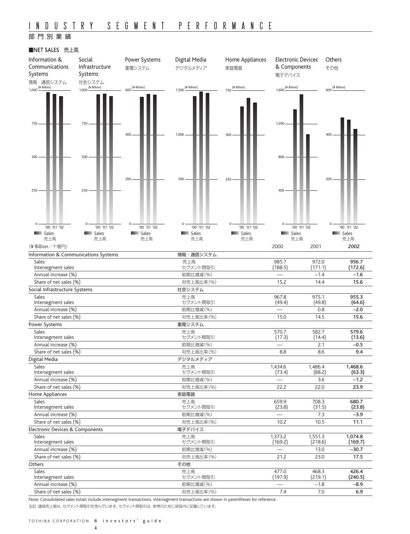# INDUSTRY SEGMENT PERFORMANCE

# 部門別業績

## ■NET SALES 売上高



Note: Consolidated sales totals include intersegment transactions. Intersegment transactions are shown in parentheses for reference. 注記:連結売上高は、セグメント間取引を含んでいます。セグメント間取引は、参考のために括弧内に記載しています。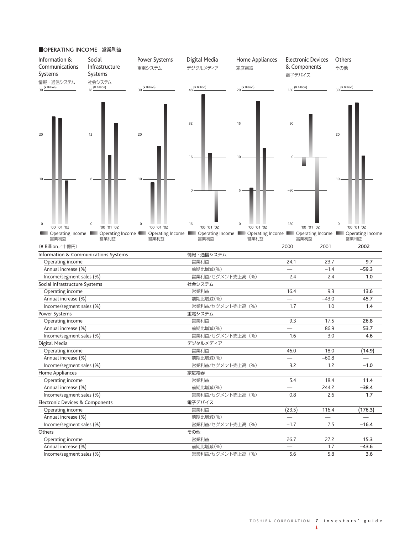

### ■OPERATING INCOME 営業利益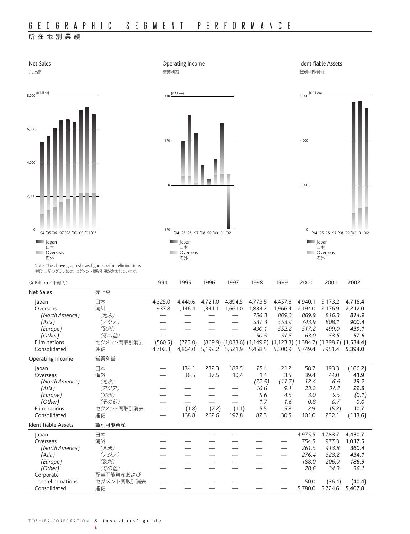# 所在地別業績

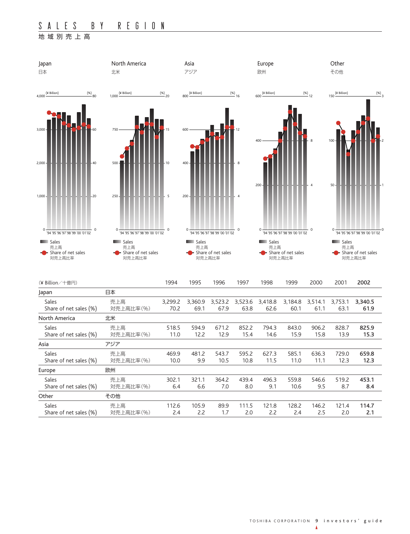# S ALES BY REGION

# 地域別売上高

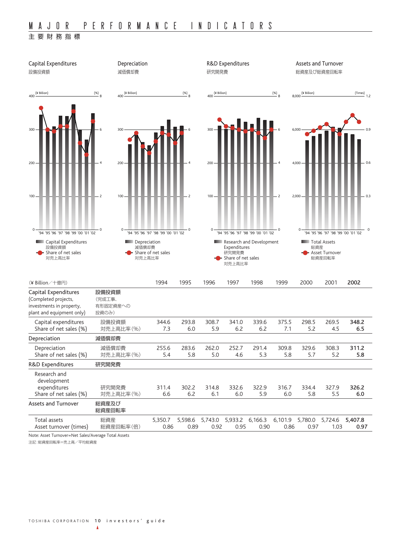## 主要財務指標



Note: Asset Turnover=Net Sales/Average Total Assets

注記:総資産回転率=売上高/平均総資産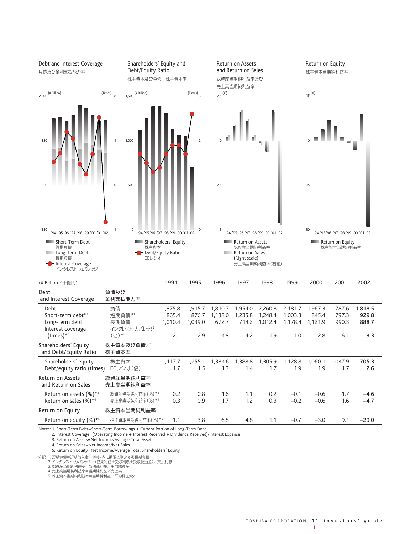

Notes: 1. Short-Term Debt=Short-Term Borrowings + Current Portion of Long-Term Debt

2. Interest Coverage=(Operating Income + Interest Received + Dividends Received)/Interest Expense

3. Return on Assets=Net Income/Average Total Assets

4. Return on Sales=Net Income/Net Sales

5. Return on Equity=Net Income/Average Total Shareholders' Equity

注記:1. 短期負債=短期借入金+1年以内に期限の到来する長期負債<br>- ^ インタレスト・カバレッジ=(営業利益+受取利息+受取配当金)/支払利息<br>- 3. 総資産当期純利益率=当期純利益/平均総資産

4. 売上高当期純利益率=当期純利益/売上高 5. 株主資本当期純利益率=当期純利益/平均株主資本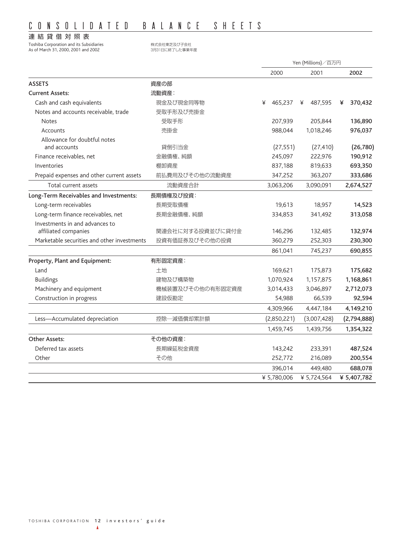# CONSOLIDATED BALANCE SHEETS

# 連結貸借対照表

Toshiba Corporation and its Subsidiaries インチング および子会社 As of March 31, 2000, 2001 and 2002 3月31日に終了した事業年度

|                                             |                  | Yen (Millions)/百万円 |              |              |
|---------------------------------------------|------------------|--------------------|--------------|--------------|
|                                             |                  | 2000               | 2001         | 2002         |
| <b>ASSETS</b>                               | 資産の部             |                    |              |              |
| <b>Current Assets:</b>                      | 流動資産:            |                    |              |              |
| Cash and cash equivalents                   | 現金及び現金同等物        | 465,237<br>¥       | 487,595<br>¥ | 370,432<br>¥ |
| Notes and accounts receivable, trade        | 受取手形及び売掛金        |                    |              |              |
| <b>Notes</b>                                | 受取手形             | 207,939            | 205,844      | 136,890      |
| Accounts                                    | 売掛金              | 988,044            | 1,018,246    | 976,037      |
| Allowance for doubtful notes                |                  |                    |              |              |
| and accounts                                | 貸倒引当金            | (27, 551)          | (27, 410)    | (26, 780)    |
| Finance receivables, net                    | 金融債権、純額          | 245,097            | 222,976      | 190,912      |
| Inventories                                 | 棚卸資産             | 837,188            | 819,633      | 693,350      |
| Prepaid expenses and other current assets   | 前払費用及びその他の流動資産   | 347,252            | 363,207      | 333,686      |
| Total current assets                        | 流動資産合計           | 3,063,206          | 3,090,091    | 2,674,527    |
| Long-Term Receivables and Investments:      | 長期債権及び投資:        |                    |              |              |
| Long-term receivables                       | 長期受取債権           | 19,613             | 18,957       | 14,523       |
| Long-term finance receivables, net          | 長期金融債権、純額        | 334,853            | 341,492      | 313,058      |
| Investments in and advances to              |                  |                    |              |              |
| affiliated companies                        | 関連会社に対する投資並びに貸付金 | 146,296            | 132,485      | 132,974      |
| Marketable securities and other investments | 投資有価証券及びその他の投資   | 360,279            | 252,303      | 230,300      |
|                                             |                  | 861,041            | 745,237      | 690,855      |
| Property, Plant and Equipment:              | 有形固定資産:          |                    |              |              |
| Land                                        | 土地               | 169,621            | 175,873      | 175,682      |
| <b>Buildings</b>                            | 建物及び構築物          | 1,070,924          | 1,157,875    | 1,168,861    |
| Machinery and equipment                     | 機械装置及びその他の有形固定資産 | 3,014,433          | 3,046,897    | 2,712,073    |
| Construction in progress                    | 建設仮勘定            | 54,988             | 66,539       | 92,594       |
|                                             |                  | 4,309,966          | 4,447,184    | 4,149,210    |
| Less-Accumulated depreciation               | 控除一減価償却累計額       | (2,850,221)        | (3,007,428)  | (2,794,888)  |
|                                             |                  | 1,459,745          | 1,439,756    | 1,354,322    |
| Other Assets:                               | その他の資産:          |                    |              |              |
| Deferred tax assets                         | 長期繰延税金資産         | 143,242            | 233,391      | 487,524      |
| Other                                       | その他              | 252,772            | 216,089      | 200,554      |
|                                             |                  | 396,014            | 449,480      | 688,078      |
|                                             |                  | ¥ 5,780,006        | ¥ 5,724,564  | ¥ 5,407,782  |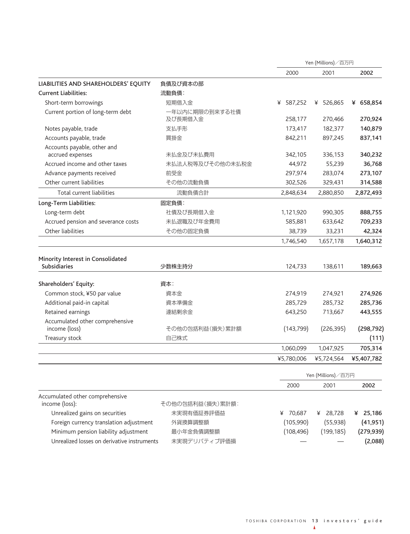|                                                          |                  | Yen (Millions)/百万円 |                    |             |
|----------------------------------------------------------|------------------|--------------------|--------------------|-------------|
|                                                          |                  | 2000               | 2001               | 2002        |
| LIABILITIES AND SHAREHOLDERS' EQUITY                     | 負債及び資本の部         |                    |                    |             |
| <b>Current Liabilities:</b>                              | 流動負債:            |                    |                    |             |
| Short-term borrowings                                    | 短期借入金            | 587,252<br>¥       | ¥ 526,865          | ¥ 658,854   |
| Current portion of long-term debt                        | 一年以内に期限の到来する社債   |                    |                    |             |
|                                                          | 及び長期借入金          | 258,177            | 270,466            | 270,924     |
| Notes payable, trade                                     | 支払手形             | 173,417            | 182,377            | 140,879     |
| Accounts payable, trade                                  | 買掛金              | 842,211            | 897,245            | 837,141     |
| Accounts payable, other and<br>accrued expenses          | 未払金及び未払費用        | 342,105            | 336,153            | 340,232     |
| Accrued income and other taxes                           | 未払法人税等及びその他の未払税金 | 44,972             | 55,239             | 36,768      |
| Advance payments received                                | 前受金              | 297,974            | 283,074            | 273,107     |
| Other current liabilities                                | その他の流動負債         | 302,526            | 329,431            | 314,588     |
| Total current liabilities                                | 流動負債合計           | 2,848,634          | 2,880,850          | 2,872,493   |
| Long-Term Liabilities:                                   | 固定負債:            |                    |                    |             |
| Long-term debt                                           | 社債及び長期借入金        | 1,121,920          | 990,305            | 888,755     |
| Accrued pension and severance costs                      | 未払退職及び年金費用       | 585,881            | 633,642            | 709,233     |
| Other liabilities                                        | その他の固定負債         | 38,739             | 33,231             | 42,324      |
|                                                          |                  | 1,746,540          | 1,657,178          | 1,640,312   |
| Minority Interest in Consolidated<br><b>Subsidiaries</b> | 少数株主持分           | 124,733            | 138,611            | 189,663     |
| Shareholders' Equity:                                    | 資本:              |                    |                    |             |
| Common stock, ¥50 par value                              | 資本金              | 274,919            | 274,921            | 274,926     |
| Additional paid-in capital                               | 資本準備金            | 285,729            | 285,732            | 285,736     |
| Retained earnings                                        | 連結剰余金            | 643,250            | 713,667            | 443,555     |
| Accumulated other comprehensive                          |                  |                    |                    |             |
| income (loss)                                            | その他の包括利益(損失)累計額  | (143, 799)         | (226, 395)         | (298, 792)  |
| Treasury stock                                           | 自己株式             |                    |                    | (111)       |
|                                                          |                  | 1,060,099          | 1,047,925          | 705,314     |
|                                                          |                  | ¥5,780,006         | ¥5,724,564         | ¥5,407,782  |
|                                                          |                  |                    | Yen (Millions)/百万円 |             |
|                                                          |                  | 2000               | 2001               | 2002        |
| Accumulated other comprehensive<br>income (loss):        | その他の包括利益(損失)累計額: |                    |                    |             |
| Unrealized gains on securities                           | 未実現有価証券評価益       | 70,687<br>¥        | ¥ 28,728           | 25,186<br>¥ |
| Foreign currency translation adjustment                  | 外貨換算調整額          | (105,990)          | (55, 938)          | (41, 951)   |
| Minimum pension liability adjustment                     | 最小年金負債調整額        | (108, 496)         | (199, 185)         | (279, 939)  |
| Unrealized losses on derivative instruments              | 未実現デリバティブ評価損     |                    |                    | (2,088)     |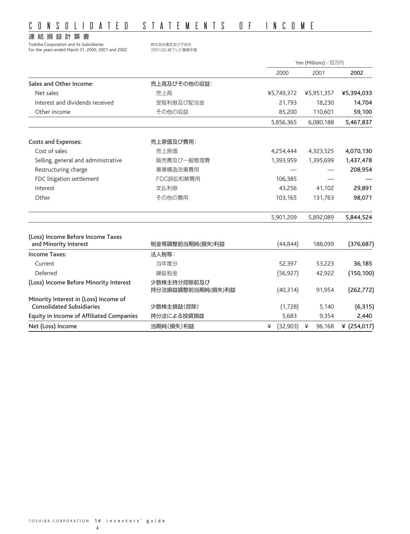# CONSOLIDATED STATEMENTS OF INCOME

# 連結損益計算書

Toshiba Corporation and its Subsidiaries #ポインサンサンサンサンサンのおよび子会社<br>Tor the years ended March 31, 2000, 2001 and 2002 \$8月31日に終了した事業年度 For the years ended March 31, 2000, 2001 and 2002

|                                                                           |                                  | Yen (Millions)/百万円 |             |                |
|---------------------------------------------------------------------------|----------------------------------|--------------------|-------------|----------------|
|                                                                           |                                  | 2000               | 2001        | 2002           |
| Sales and Other Income:                                                   | 売上高及びその他の収益:                     |                    |             |                |
| Net sales                                                                 | 売上高                              | ¥5,749,372         | ¥5,951,357  | ¥5,394,033     |
| Interest and dividends received                                           | 受取利息及び配当金                        | 21,793             | 18,230      | 14,704         |
| Other income                                                              | その他の収益                           | 85,200             | 110,601     | 59,100         |
|                                                                           |                                  | 5,856,365          | 6,080,188   | 5,467,837      |
| <b>Costs and Expenses:</b>                                                | 売上原価及び費用:                        |                    |             |                |
| Cost of sales                                                             | 売上原価                             | 4,254,444          | 4,323,525   | 4,070,130      |
| Selling, general and administrative                                       | 販売費及び一般管理費                       | 1,393,959          | 1,395,699   | 1,437,478      |
| Restructuring charge                                                      | 事業構造改善費用                         |                    |             | 208,954        |
| FDC litigation settlement                                                 | FDC訴訟和解費用                        | 106,385            |             |                |
| Interest                                                                  | 支払利息                             | 43,256             | 41,102      | 29,891         |
| Other                                                                     | その他の費用                           | 103,165            | 131,763     | 98,071         |
|                                                                           |                                  | 5,901,209          | 5,892,089   | 5,844,524      |
| (Loss) Income Before Income Taxes                                         |                                  |                    |             |                |
| and Minority Interest                                                     | 税金等調整前当期純(損失)利益                  | (44, 844)          | 188,099     | (376, 687)     |
| <b>Income Taxes:</b>                                                      | 法人税等:                            |                    |             |                |
| Current                                                                   | 当年度分                             | 52,397             | 53,223      | 36,185         |
| Deferred                                                                  | 繰延税金                             | (56, 927)          | 42,922      | (150, 100)     |
| (Loss) Income Before Minority Interest                                    | 少数株主持分控除前及び<br>持分法損益調整前当期純(損失)利益 | (40, 314)          | 91,954      | (262, 772)     |
| Minority Interest in (Loss) Income of<br><b>Consolidated Subsidiaries</b> | 少数株主損益(控除)                       | (1,728)            | 5,140       | (6, 315)       |
| <b>Equity in Income of Affiliated Companies</b>                           | 持分法による投資損益                       | 5,683              | 9,354       | 2,440          |
| Net (Loss) Income                                                         | 当期純(損失)利益                        | (32,903)<br>¥      | ¥<br>96.168 | ¥ $(254, 017)$ |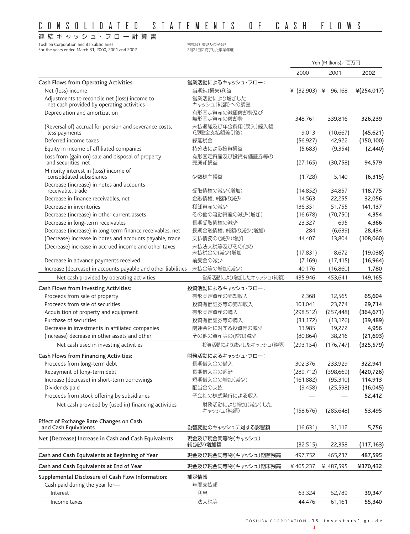# CONSOLIDATED STATEMENTS OF CASH FLOWS

連 結 キ ャッ シ ュ・フ ロ ー 計 算 書

Toshiba Corporation and its Subsidiaries<br>For the years ended March 31, 2000, 2001 and 2002<br>3月31日に終了した事業年度

For the years ended March 31, 2000, 2001 and 2002

|                                                                                                  |                                  |                            | Yen (Millions)/百万円 |            |
|--------------------------------------------------------------------------------------------------|----------------------------------|----------------------------|--------------------|------------|
|                                                                                                  |                                  | 2000                       | 2001               | 2002       |
| Cash Flows from Operating Activities:                                                            | 営業活動によるキャッシュ・フロー:                |                            |                    |            |
| Net (loss) income                                                                                | 当期純(損失)利益                        | $\angle$ (32,903) $\angle$ | 96,168             | ¥(254,017) |
| Adjustments to reconcile net (loss) income to<br>net cash provided by operating activities-      | 営業活動により増加した<br>キャッシュ(純額)への調整     |                            |                    |            |
| Depreciation and amortization                                                                    | 有形固定資産の減価償却費及び<br>無形固定資産の償却費     | 348,761                    | 339,816            | 326,239    |
| (Reversal of) accrual for pension and severance costs,<br>less payments                          | 未払退職及び年金費用(戻入)繰入額<br>(退職金支払額差引後) | 9,013                      | (10,667)           | (45, 621)  |
| Deferred income taxes                                                                            | 繰延税金                             | (56, 927)                  | 42,922             | (150, 100) |
| Equity in income of affiliated companies                                                         | 持分法による投資損益                       | (5,683)                    | (9, 354)           | (2, 440)   |
| Loss from (gain on) sale and disposal of property<br>and securities, net                         | 有形固定資産及び投資有価証券等の<br>売廃却損益        | (27, 165)                  | (30, 758)          | 94,579     |
| Minority interest in (loss) income of<br>consolidated subsidiaries                               | 少数株主損益                           | (1, 728)                   | 5,140              | (6, 315)   |
| Decrease (increase) in notes and accounts<br>receivable, trade                                   | 受取債権の減少(増加)                      | (14, 852)                  | 34,857             | 118,775    |
| Decrease in finance receivables, net                                                             | 金融債権、純額の減少                       | 14,563                     | 22,255             | 32,056     |
| Decrease in inventories                                                                          | 棚卸資産の減少                          | 136,351                    | 51,755             | 141,137    |
| Decrease (increase) in other current assets                                                      | その他の流動資産の減少(増加)                  | (16, 678)                  | (70, 750)          | 4,354      |
| Decrease in long-term receivables                                                                | 長期受取債権の減少                        | 23,327                     | 695                | 4,366      |
| Decrease (increase) in long-term finance receivables, net                                        | 長期金融債権、純額の減少(増加)                 | 284                        | (6,639)            | 28,434     |
| (Decrease) increase in notes and accounts payable, trade                                         | 支払債務の(減少)増加                      | 44,407                     | 13,804             | (108,060)  |
| (Decrease) increase in accrued income and other taxes                                            | 未払法人税等及びその他の<br>未払税金の(減少)増加      | (17, 831)                  | 8,672              | (19,038)   |
| Decrease in advance payments received                                                            | 前受金の減少                           | (7, 169)                   | (17, 415)          | (16, 964)  |
| Increase (decrease) in accounts payable and other liabilities 未払金等の増加(減少)                        |                                  | 40,176                     | (16,860)           | 1,780      |
| Net cash provided by operating activities                                                        | 営業活動により増加したキャッシュ(純額)             | 435,946                    | 453,641            | 149,165    |
|                                                                                                  |                                  |                            |                    |            |
| Cash Flows from Investing Activities:                                                            | 投資活動によるキャッシュ・フロー:                |                            |                    |            |
| Proceeds from sale of property                                                                   | 有形固定資産の売却収入                      | 2,368                      | 12,565             | 65,604     |
| Proceeds from sale of securities                                                                 | 投資有価証券等の売却収入                     | 101,041                    | 23,774             | 29,714     |
| Acquisition of property and equipment                                                            | 有形固定資産の購入                        | (298, 512)                 | (257, 448)         | (364, 671) |
| Purchase of securities                                                                           | 投資有価証券等の購入                       | (31, 172)                  | (13, 126)          | (39, 489)  |
| Decrease in investments in affiliated companies<br>(Increase) decrease in other assets and other | 関連会社に対する投資等の減少                   | 13,985                     | 19,272             | 4,956      |
|                                                                                                  | その他の資産等の(増加)減少                   | (80, 864)                  | 38,216             | (21, 693)  |
| Net cash used in investing activities                                                            | 投資活動により減少したキャッシュ(純額)             | (293, 154)                 | (176, 747)         | (325, 579) |
| Cash Flows from Financing Activities:                                                            | 財務活動によるキャッシュ・フロー:                |                            |                    |            |
| Proceeds from long-term debt                                                                     | 長期借入金の借入                         | 302,376                    | 233,929            | 322,941    |
| Repayment of long-term debt                                                                      | 長期借入金の返済                         | (289, 712)                 | (398, 669)         | (420, 726) |
| Increase (decrease) in short-term borrowings                                                     | 短期借入金の増加(減少)                     | (161, 882)                 | (95,310)           | 114,913    |
| Dividends paid                                                                                   | 配当金の支払                           | (9, 458)                   | (25, 598)          | (16, 045)  |
| Proceeds from stock offering by subsidiaries                                                     | 子会社の株式発行による収入                    |                            |                    | 52,412     |
| Net cash provided by (used in) financing activities                                              | 財務活動により増加(減少)した<br>キャッシュ(純額)     | (158, 676)                 | (285, 648)         | 53,495     |
| Effect of Exchange Rate Changes on Cash<br>and Cash Equivalents                                  | 為替変動のキャッシュに対する影響額                | (16,631)                   | 31,112             | 5,756      |
| Net (Decrease) Increase in Cash and Cash Equivalents                                             | 現金及び現金同等物(キャッシュ)<br>純(減少)増加額     | (32, 515)                  | 22,358             | (117,163)  |
| Cash and Cash Equivalents at Beginning of Year                                                   | 現金及び現金同等物(キャッシュ)期首残高             | 497,752                    | 465,237            | 487,595    |
| Cash and Cash Equivalents at End of Year                                                         | 現金及び現金同等物(キャッシュ)期末残高             | ¥465,237                   | ¥ 487,595          | ¥370,432   |
| Supplemental Disclosure of Cash Flow Information:                                                | 補足情報                             |                            |                    |            |
| Cash paid during the year for-                                                                   | 年間支払額                            |                            |                    |            |
| Interest                                                                                         | 利息                               | 63,324                     | 52,789             | 39,347     |
| Income taxes                                                                                     | 法人税等                             | 44,476                     | 61,161             | 55,340     |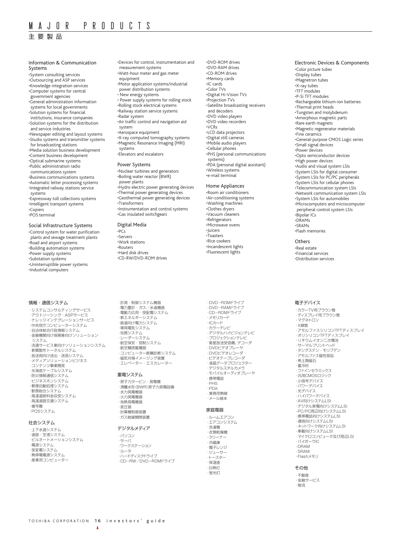主要製品

#### Information & Communication Systems •System consulting services

•Outsourcing and ASP services •Knowledge integration services •Computer systems for central government agencies •General administration information systems for local governments •Solution systems for financial institutions, insurance companies •Solution systems for the distribution and service industries •Newspaper editing and layout systems •Studio systems and transmitter systems for broadcasting stations •Media solution business development •Content business development •Optical submarine systems •Public administration radio communications system •Business communications systems •Automatic letter processing systems •Integrated railway stations service systems •Expressway toll collections systems •Intelligent transport systems •Copiers •POS terminal

Social Infrastructure Systems

•Control system for water purification plants and sewage treatment plants •Road and airport systems •Building automation systems •Power supply systems •Substation systems •Uninterruptible power systems •Industrial computers

#### 情報・通信システム

・システムコンサルティングサービス ・アウトソーシング・ASPサービス ・ナレッジインテグレーションサービス ・中央官庁コンピューターシステム ・自治体総合行政情報システム ・金融機関向け保険業向けソリューション システム ・流通サービス業向けソリューションシステム ・新聞製作トータルシステム ・放送局向け送出・送信システム ・メディアソリューションビジネス ・コンテンツ事業開発 ・光海底ケーブルシステム ・防災情報通信システム ・ビジネスホンシステム ・郵便自動処理システム ・駅務総合システム ・高速道路料金収受システム ・高速道路交通システム ・複写機 ・POSシステム

#### 社会システム

・上下水道システム ・道路・空港システム ・ビルオートメーションシステム ・電源システム ・受変電システム ・無停電電源システム ・産業用コンピューター

•Devices for control, instrumentation and measurement systems •Watt-hour meter and gas meter equipment •Motor application systems/industrial power distribution systems • New energy systems • Power supply systems for rolling stock •Rolling stock electrical systems •Railway station service systems •Radar system •Air traffic control and navigation aid system •Aerospace equipment •X-ray computed tomography systems •Magnetic Resonance Imaging (MRI) systems •Elevators and escalators

#### Power Systems

•Nuclear turbines and generators •Boiling water reactor (BWR) power plants •Hydro electric power generating devices •Thermal power generating devices •Geothermal power generating devices •Transformers •Instrumentation and control systems •Gas insulated switchgears

#### Digital Media

•PCs •Servers •Work stations •Routers •Hard disk drives •CD-RW/DVD-ROM drives

・計測・制御システム機器 ・電力量計・ガス/水道機器 ・電動力応用・受配電システム ・新エネルギーシステム ・鉄道向け電力システム ・車両電気システム ・役務システム ・レーダーシステム ・航空保安・官制システム ・航空機搭載機器 ・コンピューター断層診断システム 磁気共鳴イメージング装置 ・エレベーター・エスカレーター

#### 重電システム

・原子力タービン・発電機 ・沸騰水形(BWR)原子力発電設備 ・水力発電機器 ・火力発電機器 ・地熱発電機器 ・変圧器 ・計算機制御装置 ・ガス絶縁開閉装置

#### デジタルメディア

・パソコン ・サーバ ・ワークステーション ・ルータ ・ハードディスクドライブ ・CD-RW/DVD-ROMドライブ •DVD-ROM drives •DVD-RAM drives •CD-ROM drives •Memory cards •IC cards •Color TVs •Digital Hi-Vision TVs •Projection TVs •Satellite broadcasting receivers and decoders •DVD video players •DVD video recorders •VCRs •LCD data projectors •Digital still cameras •Mobile audio players •Cellular phones •PHS (personal communications systems) •PDA (personal digital assistant) •Wireless systems •e-mail terminal

#### Home Appliances

•Room air conditioners •Air-conditioning systems •Washing machines •Clothes dryers •Vacuum cleaners •Refrigerators •Microwave ovens •Juicers •Toasters •Rice cookers •Incandescent lights •Fluorescent lights

・DVD-ROMドライブ ・DVD-RAMドライブ ・CD-ROMドライブ ・メモリカード ・ICカード ・カラーテレビ ・デジタルハイビジョンテレビ ・プロジェクションテレビ ・衛星放送受信機、デコーダ ・DVDビデオプレーヤ ・DVDビデオレコーダ ・ビデオテープレコーダ -<br>·液晶データプロジェクタ ・デジタルスチルカメラ ・モバイルオーディオプレーヤ ・携帯電話 ・PHS ・PDA ・業務用無線 ・メール端末 家庭電器 ・ルームエアコン ・エアコンシステム ・洗濯機 ・衣類乾燥機 ・クリーナー ・冷蔵庫

# ・電子レンジ ・ジューサー ・トースター ・保温釜 ・白熱灯

・蛍光灯

Electronic Devices & Components •Color picture tubes •Display tubes •Magnetron tubes •X-ray tubes •TFT modules •P-Si TFT modules •Rechargeable lithium-ion batteries •Thermal print heads •Tungsten and molybdenum •Amorphous magnetic parts •Rare earth magnets •Magnetic regenerator materials •Fine ceramics •General-purpose CMOS Logic series •Small signal devices •Power devices •Opto semiconductor devices •High power devices •Audio and visual system LSIs •System LSIs for digital consumer •System LSIs for PC/PC peripherals •System LSIs for cellular phones •Telecommunication system LSIs •Network communication system LSIs •System LSIs for automobiles •Microcomputers and microcomputer peripheral control system LSIs •Bipolar ICs •DRAMs •SRAMs •Flash memories

#### **Others**

•Real estate •Financial services •Distribution services

#### 電子デバイス

・カラーTV用ブラウン管 - ・・・・・・・・・・・・・ - - - - - - - - -<br>・ディスプレイ用ブラウン管 ・マグネトロン ・X線管 ・アモルファスシリコンTFTディスプレイ ・ポリシリコンTFTディスプレイ ・リチウムイオン二次電池 ・サーマルプリントヘッド ・タングステン・モリブデン ・アモルファス磁性部品 ・希土類磁石 ・蓄冷材 ・ファインセラミックス ・<br>汎用CMOSロジック ・小信号デバイス ・パワーデバイス ・光デバイス ・ハイパワーデバイス ・<br>・AV向けシステムLSI ・デジタル家電向けシステムLSI ・PC/PC周辺向けシステムLSI ・携帯電話向けシステムLSI ・通信向けシステムLSI ・ネットワーク向けシステムLSI ・車載向けシステムLSI ・マイクロコンピュータ及び周辺LSI ・バイポーラIC ・DRAM ・SRAM ・Flashメモリ

#### その他

・不動産 ・金融サービス ・物流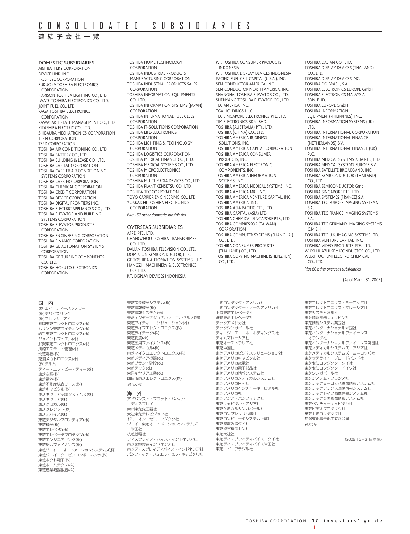# 連結子会社一覧

DOMESTIC SUBSIDIARIES A&T BATTERY CORPORATION DEVICE LINK, INC. FRESHEYE CORPORATION FUKUOKA TOSHIBA ELECTRONICS **CORPORATION** HARISON TOSHIBA LIGHTING CO., LTD. IWATE TOSHIBA ELECTRONICS CO., LTD. JOINT FUEL CO., LTD. KAGA TOSHIBA ELECTRONICS **CORPORATION** KAWASAKI ESTATE MANAGEMENT CO., LTD. KITASHIBA ELECTRIC CO., LTD. SHIBAURA MECHATRONICS CORPORATION TERM CORPORATION TFPD CORPORATION TOSHIBA AIR CONDITIONING CO., LTD. TOSHIBA BATTERY CO., LTD. TOSHIBA BUILDING & LEASE CO., LTD. TOSHIBA CAPITAL CORPORATION TOSHIBA CARRIER AIR CONDITIONING SYSTEMS CORPORATION TOSHIBA CARRIER CORPORATION TOSHIBA CHEMICAL CORPORATION TOSHIBA CREDIT CORPORATION TOSHIBA DEVICE CORPORATION TOSHIBA DIGITAL FRONTIERS INC. TOSHIBA ELECTRIC APPLIANCES CO., LTD. TOSHIBA ELEVATOR AND BUILDING SYSTEMS CORPORATION TOSHIBA ELEVATOR PRODUCTS CORPORATION TOSHIBA ENGINEERING CORPORATION TOSHIBA FINANCE CORPORATION TOSHIBA GE AUTOMATION SYSTEMS **CORPORATION** TOSHIBA GE TURBINE COMPONENTS  $CO$ , LTD. TOSHIBA HOKUTO ELECTRONICS **CORPORATION** 

#### 国 内

(株)エイ・ティーバッテリー (株)デバイスリンク (株)フレッシュアイ 福岡東芝エレクトロニクス(株) ハリソン東芝ライティング(株) 岩手東芝エレクトロニクス(株) ジョイントフュエル(株) 加賀東芝エレクトロニクス(株) 川崎エステート管理(株) 北芝電機(株) 芝浦メカトロニクス(株) (株)テルム ティー・エフ・ピー・ディー(株) 東芝空調(株) 東芝電池(株) 東芝不動産総合リース(株) 東芝キャピタル(株) <sub>-木</sub>之 - ・ こ - ,<br>東芝キヤリア空調システムズ(株) 東芝キヤリア(株) 東芝ケミカル(株) **東芝クレジット(株)** 東芝デバイス(株) 東芝デジタルフロンティア(株) 東芝機器(株) 東芝エレベ-タ(株) 東芝エレベータプロダクツ(株) 東芝エンジニアリング(株) 東芝総合ファイナンス(株) 東芝ジーイー・オートメーションシステムズ(株) 東芝ジーイータービンコンポーネンツ(株) 東芝ホクト電子(株) 東芝ホームテクノ(株) 東芝産業機器製造(株)

TOSHIBA HOME TECHNOLOGY **CORPORATION** TOSHIBA INDUSTRIAL PRODUCTS MANUFACTURING CORPORATION TOSHIBA INDUSTRIAL PRODUCTS SALES **CORPORATION** TOSHIBA INFORMATION EQUIPMENTS CO., LTD. TOSHIBA INFORMATION SYSTEMS (JAPAN) CORPORATION TOSHIBA INTERNATIONAL FUEL CELLS **CORPORATION** TOSHIBA IT-SOLUTIONS CORPORATION TOSHIBA LIFE-ELECTRONICS **CORPORATION** TOSHIBA LIGHTING & TECHNOLOGY CORPORATION TOSHIBA LOGISTICS CORPORATION TOSHIBA MEDICAL FINANCE CO., LTD. TOSHIBA MEDICAL SYSTEMS CO., LTD. TOSHIBA MICROELECTRONICS **CORPORATION** TOSHIBA MULTI MEDIA DEVICES CO., LTD. TOSHIBA PLANT KENSETSU CO., LTD. TOSHIBA TEC CORPORATION TOYO CARRIER ENGINEERING CO., LTD. YOKKAICHI TOSHIBA ELECTRONICS CORPORATION *Plus 157 other domestic subsidiaries*

OVERSEAS SUBSIDIARIES AFPD PTE., LTD. CHANGZHOU TOSHIBA TRANSFORMER CO., LTD. DALIAN TOSHIBA TELEVISION CO., LTD. DOMINION SEMICONDUCTOR, L.L.C. GE TOSHIBA AUTOMATION SYSTEMS, L.L.C. HANGZHI MACHINERY & ELECTRONICS CO., LTD. P.T. DISPLAY DEVICES INDONESIA

東芝産業機器システム(株) 東芝情報機器(株) 東芝情報システム(株) 東芝インターナショナルフュエルセルズ(株) ......<br>東芝アイティー・ソリューション(株) <sub>(木)</sub><br>東芝ライフエレクトロニクス(株) 東芝ライテック(株) 東芝物流(株) 東芝医用ファイナンス(株) 東芝メディカル(株) 東芝マイクロエレクトロニクス(株) 東芝メディア機器(株) 東芝プラント建設(株) 東芝テック(株) 東洋キヤリア工業(株) 四日市東芝エレクトロニクス(株) 他157社 海 外

アドバンスト・フラット・パネル・ ディスプレイ社 常州東芝変圧器社 大連東芝テレビジョン社 ドミニオン・セミコンダクタ社 ジーイー東芝オートメーションシステムズ 米国社 杭芝機電社 ディスプレイディバイス・インドネシア社 東芝家電製造インドネシア社 <sub>木之弥唱教屋(フィ・ファ・</sup><br>東芝ディスプレイディバイス・インドネシア社</sub> パシフィック・フュエル・セル・キャピタル社 P.T. TOSHIBA CONSUMER PRODUCTS INDONESIA P.T. TOSHIBA DISPLAY DEVICES INDONESIA PACIFIC FUEL CELL CAPITAL (U.S.A.), INC. SEMICONDUCTOR AMERICA, INC. SEMICONDUCTOR NORTH AMERICA, INC. SHANGHAI TOSHIBA ELEVATOR CO., LTD. SHENYANG TOSHIBA ELEVATOR CO., LTD. TEC AMERICA, INC. TGA HOLDINGS L.L.C TEC SINGAPORE ELECTRONICS PTE. LTD. TIM ELECTRONICS SDN. BHD. TOSHIBA (AUSTRALIA) PTY., LTD. TOSHIBA (CHINA) CO., LTD. TOSHIBA AMERICA BUSINESS SOLUTIONS, INC. TOSHIBA AMERICA CAPITAL CORPORATION TOSHIBA AMERICA CONSUMER PRODUCTS, INC. TOSHIBA AMERICA ELECTRONIC COMPONENTS, INC. TOSHIBA AMERICA INFORMATION SYSTEMS, INC. TOSHIBA AMERICA MEDICAL SYSTEMS, INC. TOSHIBA AMERICA MRI, INC. TOSHIBA AMERICA VENTURE CAPITAL, INC. TOSHIBA AMERICA, INC. TOSHIBA ASIA PACIFIC PTE., LTD. TOSHIBA CAPITAL (ASIA) LTD. TOSHIBA CHEMICAL SINGAPORE PTE., LTD. TOSHIBA COMPRESSOR (TAIWAN) CORPORATION TOSHIBA COMPUTER SYSTEMS (SHANGHAI) CO., LTD. TOSHIBA CONSUMER PRODUCTS (THAILAND) CO., LTD. TOSHIBA COPYING MACHINE (SHENZHEN) CO., LTD.

セミコンダクタ・アメリカ社 セミコンダクター・ノースアメリカ社

ティージーエー・ホールディングス社

東芝アメリカビジネスソリューション社 東芝アメリカキャピタル社 東芝アメリカ家電社 東芝アメリカ電子部品社 東芝アメリカ情報システム社 東芝アメリカメディカルシステム社

東芝アメリカベンチャーキャピタル社

東芝ディスプレイディバイス・タイ社 東芝ディスプレイディバイス米国社 東芝・ド・ブラジル社

上海東芝エレベータ社 瀋陽東芝エレベータ社 テックアメリカ社 テックシンガポール社

ティムマレーシア社 東芝オーストラリア社 東芝中国社

<sub>東芝アメリカMRI社</sub>

……<br>東芝アメリカ社 東芝アジア・パシフィック社 東芝キャピタル・アジア社 東芝ケミカルシンガポール社 東芝コンプレッサ台湾社 東芝コンピュータシステム上海社 東芝家電製造タイ社 東芝複写機深セン社 東芝大連社

TOSHIBA INFORMATION SYSTEMS (UK) LTD. TOSHIBA INTERNATIONAL CORPORATION TOSHIBA INTERNATIONAL FINANCE (NETHERLANDS) B.V. TOSHIBA INTERNATIONAL FINANCE (UK) PLC. TOSHIBA MEDICAL SYSTEMS ASIA PTE., LTD. TOSHIBA MEDICAL SYSTEMS EUROPE B.V. TOSHIBA SATELLITE BROADBAND, INC. TOSHIBA SEMICONDUCTOR (THAILAND) CO., LTD. TOSHIBA SEMICONDUCTOR GmbH TOSHIBA SINGAPORE PTE., LTD. TOSHIBA SYSTEMES (FRANCE) S.A. TOSHIBA TEC EUROPE IMAGING SYSTEMS S.A. TOSHIBA TEC FRANCE IMAGING SYSTEMS S.A. TOSHIBA TEC GERMANY IMAGING SYSTEMS G.M.B.H TOSHIBA TEC U.K. IMAGING SYSTEMS LTD. TOSHIBA VENTURE CAPITAL, INC. TOSHIBA VIDEO PRODUCTS PTE., LTD. WUXI HUAZHI SEMICONDUCTOR CO., LTD. WUXI TOCHEMI ELECTRO CHEMICAL CO., LTD. *Plus 60 other overseas subsidiaries* (As of March 31, 2002) 東芝エレクトロニクス・ヨーロッパ社 東芝エレクトロニクス・マレーシア社 東芝システム欧州社 東芝情報機器フィリピン社 東芝情報システム英国社 東芝インターナショナル米国社

TOSHIBA DALIAN CO., LTD. TOSHIBA DISPLAY DEVICES (THAILAND)

TOSHIBA DISPLAY DEVICES INC. TOSHIBA DO BRASIL, S.A.

TOSHIBA ELECTRONICS EUROPE GmbH TOSHIBA ELECTRONICS MALAYSIA

CO., LTD.

SDN. BHD. TOSHIBA EUROPE GmbH TOSHIBA INFORMATION EQUIPMENT(PHILIPPINES), INC.

……<br>東芝インターナショナルファイナンス・ ...<br>オランダ社 東芝インターナショナルファイナンス英国社 東芝メディカルシステムズ・アジア社 東芝メディカルシステムズ・ヨーロッパ社 <sub>(木)フラ</sub>・パックロバーコーロー<br>東芝サテライト・ブロードバンド社 東芝セミコンダクタ・タイ社 東芝セミコンダクタ・ドイツ社 東芝シンガポール社 東芝システム・フランス社 東芝テックヨーロッパ画像情報システム社 東芝テックフランス画像情報システム社 東芝テックドイツ画像情報システム社 東芝テック英国画像情報システム社 東芝ベンチャーキャピタル社 東芝ビデオプロダクツ社 華芝セミコンダクタ社 無錫東化電子化工有限公司 他60社

(2002年3月31日現在)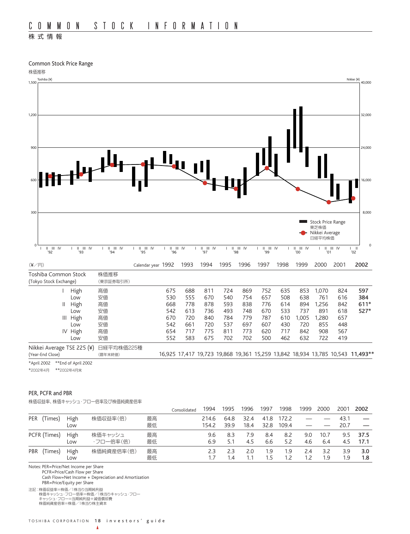# 株式情報

Common Stock Price Range



|                |             |            |    | Consolidated | 1994  | 1995 | 1996 | 1997 | 1998  | 1999 | 2000 | 200 <sup>.</sup> | 2002 |
|----------------|-------------|------------|----|--------------|-------|------|------|------|-------|------|------|------------------|------|
| PER<br>Times)  | <b>High</b> | 株価収益率(倍)   | 最高 |              | 214.6 | 64.8 | 32.4 | 41.8 | 172.2 |      |      | 43.1             |      |
|                | Low         |            | 最低 |              | 154.2 | 39.9 | 18.4 | 32.8 | 109.4 |      |      | 20.7             |      |
| PCFR (Times)   | <b>High</b> | 株価キャッシュ    | 最高 |              | 9.6   | 8.3  | 7.9  | 8.4  | 8.2   | 9.0  | 10.7 | 9.5              | 37.5 |
|                | Low         | ・フロー倍率(倍)  | 最低 |              | 6.9   | 5.1  | 4.5  | 6.6  | 5.2   | 4.6  | 6.4  | 4.5              | 17.1 |
| PBR<br>(Times) | <b>High</b> | 株価純資産倍率(倍) | 最高 |              | 2.3   | 2.3  | 2.0  | 1.9  | 1.9   | 2.4  | 32   | 3.9              | 3.0  |
|                | Low         |            | 最低 |              |       | l.4  | 1.1  | 1.5  | 1.2   | - 2  | 9.۱  | . 9              | 1.8  |

Notes: PER=Price/Net Income per Share

PCFR=Price/Cash Flow per Share

Cash Flow=Net Income + Depreciation and Amortization PBR=Price/Equity per Share

注記:株価収益率=株価/1株当り当期純利益 株価キャッシュ・フロー倍率=株価/1株当りキャッシュ・フロー キャッシュ・フロー=当期純利益+減価償却費 株価純資産倍率=株価/1株当り株主資本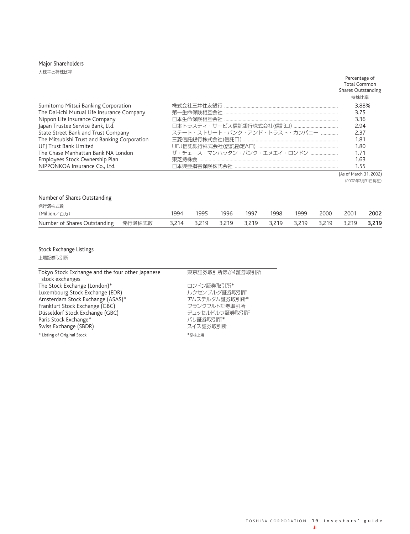# Major Shareholders

大株主と持株比率

#### Percentage of Total Common Shares Outstanding

| Sumitomo Mitsui Banking Corporation          |                               | 3.88% |
|----------------------------------------------|-------------------------------|-------|
| The Dai-ichi Mutual Life Insurance Company   |                               | 3.75  |
| Nippon Life Insurance Company                |                               | 3.36  |
| Japan Trustee Service Bank, Ltd.             |                               | 2.94  |
| State Street Bank and Trust Company          | ステート・ストリート・バンク・アンド・トラスト・カンパニー | 237   |
| The Mitsubishi Trust and Banking Corporation |                               | 1.81  |
| UFI Trust Bank Limited                       |                               | 1.80  |
| The Chase Manhattan Bank NA London           | ザ・チェース・マンハッタン・バンク・エヌエイ・ロンドン   | 171   |
| Employees Stock Ownership Plan               |                               | 1.63  |
| NIPPONKOA Insurance Co., Ltd.                |                               | 1.55  |

(As of March 31, 2002)

(2002年3月31日現在)

# Number of Shares Outstanding

| 発行済株式数       |      |      |                                                       |      |      |      |      |      |      |
|--------------|------|------|-------------------------------------------------------|------|------|------|------|------|------|
| (Million/百万) | 1994 | 1995 | 1996                                                  | 1997 | 1998 | 1999 | 2000 | 2001 | 2002 |
|              |      |      | 3,214 3,219 3,219 3,219 3,219 3,219 3,219 3,219 3,219 |      |      |      |      |      |      |

# Stock Exchange Listings

上場証券取引所

| Tokyo Stock Exchange and the four other Japanese | 東京証券取引所ほか4証券取引所 |  |  |  |  |  |
|--------------------------------------------------|-----------------|--|--|--|--|--|
| stock exchanges                                  |                 |  |  |  |  |  |
| The Stock Exchange (London)*                     | ロンドン証券取引所*      |  |  |  |  |  |
| Luxembourg Stock Exchange (EDR)                  | ルクセンブルグ証券取引所    |  |  |  |  |  |
| Amsterdam Stock Exchange (ASAS)*                 | アムステルダム証券取引所*   |  |  |  |  |  |
| Frankfurt Stock Exchange (GBC)                   | フランクフルト証券取引所    |  |  |  |  |  |
| Düsseldorf Stock Exchange (GBC)                  | デュッセルドルフ証券取引所   |  |  |  |  |  |
| Paris Stock Exchange*                            | パリ証券取引所*        |  |  |  |  |  |
| Swiss Exchange (SBDR)                            | スイス証券取引所        |  |  |  |  |  |
| * Listing of Original Stock                      | *原株上場           |  |  |  |  |  |

TOSHIBA CORPORATION 19 investors' guide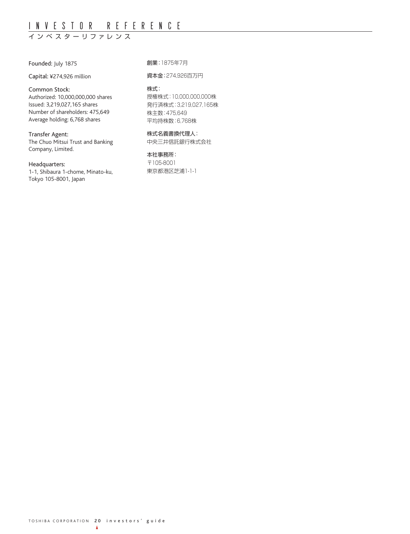# INVESTOR REFERENCE

# インベスター リファレンス

Founded: July 1875

Capital: ¥274,926 million

### Common Stock:

Authorized: 10,000,000,000 shares Issued: 3,219,027,165 shares Number of shareholders: 475,649 Average holding: 6,768 shares

### Transfer Agent:

The Chuo Mitsui Trust and Banking Company, Limited.

### Headquarters:

1-1, Shibaura 1-chome, Minato-ku, Tokyo 105-8001, Japan

創業:1875年7月

資本金:274,926百万円

### 株式:

授権株式:10,000,000,000株 発行済株式:3,219,027,165株 株主数:475,649 平均持株数:6,768株

### 株式名義書換代理人: 中央三井信託銀行株式会社

本社事務所: 〒105-8001 東京都港区芝浦1-1-1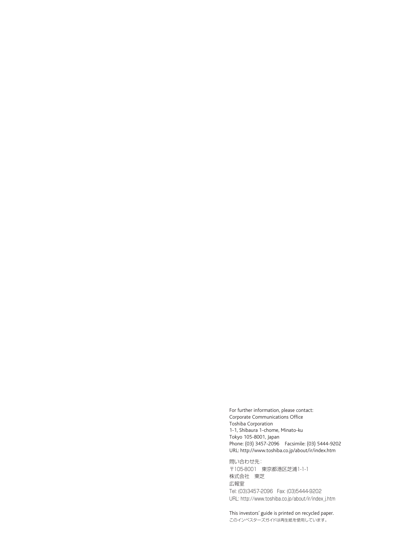For further information, please contact: Corporate Communications Office Toshiba Corporation 1-1, Shibaura 1-chome, Minato-ku Tokyo 105-8001, Japan Phone: (03) 3457-2096 Facsimile: (03) 5444-9202 URL: http://www.toshiba.co.jp/about/ir/index.htm

問い合わせ先: 〒105-8001 東京都港区芝浦1-1-1 株式会社 東芝 広報室 Tel: (03)3457-2096 Fax: (03)5444-9202 URL: http://www.toshiba.co.jp/about/ir/index\_j.htm

This investors' guide is printed on recycled paper. このインベスターズガイドは再生紙を使用しています。